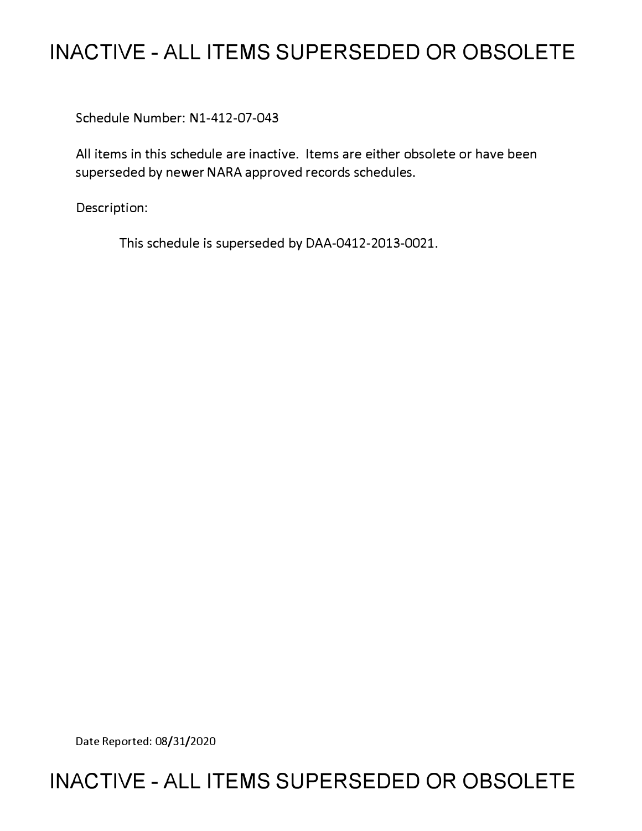## **INACTIVE - ALL ITEMS SUPERSEDED OR OBSOLETE**

Schedule Number: N1-412-07-043

All items in this schedule are inactive. Items are either obsolete or have been superseded by newer NARA approved records schedules.

Description:

This schedule is superseded by DAA-0412-2013-0021.

Date Reported: 08/31/2020

## **INACTIVE - ALL ITEMS SUPERSEDED OR OBSOLETE**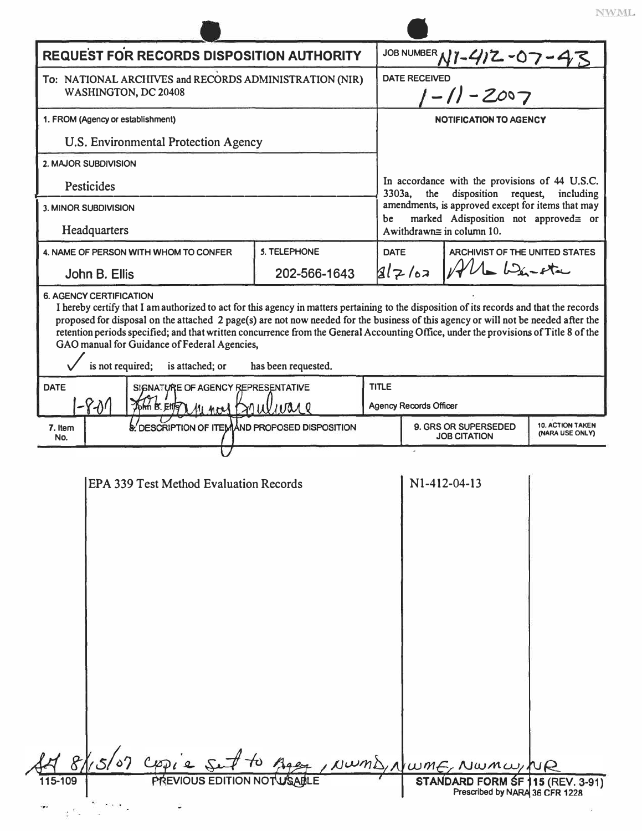|                                                                                | <b>REQUEST FOR RECORDS DISPOSITION AUTHORITY</b>                                                                                                                                                        |                                                 | JOB NUMBER N1-412-07-43                                                                   |                                                                               |                        |  |  |  |
|--------------------------------------------------------------------------------|---------------------------------------------------------------------------------------------------------------------------------------------------------------------------------------------------------|-------------------------------------------------|-------------------------------------------------------------------------------------------|-------------------------------------------------------------------------------|------------------------|--|--|--|
| To: NATIONAL ARCHIVES and RECORDS ADMINISTRATION (NIR)<br>WASHINGTON, DC 20408 |                                                                                                                                                                                                         |                                                 |                                                                                           | <b>DATE RECEIVED</b><br>$1 - 11 - 2007$                                       |                        |  |  |  |
| 1. FROM (Agency or establishment)                                              |                                                                                                                                                                                                         |                                                 | <b>NOTIFICATION TO AGENCY</b>                                                             |                                                                               |                        |  |  |  |
|                                                                                | U.S. Environmental Protection Agency                                                                                                                                                                    |                                                 |                                                                                           |                                                                               |                        |  |  |  |
| 2. MAJOR SUBDIVISION                                                           |                                                                                                                                                                                                         |                                                 |                                                                                           |                                                                               |                        |  |  |  |
| Pesticides                                                                     |                                                                                                                                                                                                         |                                                 | 3303a.                                                                                    | In accordance with the provisions of 44 U.S.C.<br>the<br>disposition request, | including              |  |  |  |
| 3. MINOR SUBDIVISION                                                           |                                                                                                                                                                                                         | be                                              | amendments, is approved except for items that may<br>marked Adisposition not approved= or |                                                                               |                        |  |  |  |
| Headquarters                                                                   |                                                                                                                                                                                                         |                                                 | Awithdrawn≅ in column 10.                                                                 |                                                                               |                        |  |  |  |
|                                                                                | 4. NAME OF PERSON WITH WHOM TO CONFER                                                                                                                                                                   | 5. TELEPHONE                                    | <b>DATE</b>                                                                               | ARCHIVIST OF THE UNITED STATES                                                |                        |  |  |  |
| John B. Ellis                                                                  |                                                                                                                                                                                                         | 202-566-1643                                    | 2 7/62                                                                                    | $U_{\bullet}$ $\omega_{\text{in}}$ -eta                                       |                        |  |  |  |
| is not required;                                                               | retention periods specified; and that written concurrence from the General Accounting Office, under the provisions of Title 8 of the<br>GAO manual for Guidance of Federal Agencies,<br>is attached; or | has been requested.                             |                                                                                           |                                                                               |                        |  |  |  |
| <b>DATE</b><br>$-801$                                                          | SIGNATURE OF AGENCY REPRESENTATIVE<br>John B. Eitz Mincel Grulware                                                                                                                                      | <b>TITLE</b>                                    | <b>Agency Records Officer</b>                                                             |                                                                               |                        |  |  |  |
| 7. Item                                                                        | & DESCRIPTION OF ITEMAND PROPOSED DISPOSITION                                                                                                                                                           | <b>10. ACTION TAKEN</b><br>9. GRS OR SUPERSEDED |                                                                                           |                                                                               |                        |  |  |  |
| No.                                                                            |                                                                                                                                                                                                         |                                                 |                                                                                           | <b>JOB CITATION</b>                                                           | <b>(NARA USE ONLY)</b> |  |  |  |
|                                                                                | <b>EPA 339 Test Method Evaluation Records</b>                                                                                                                                                           |                                                 |                                                                                           | N1-412-04-13                                                                  |                        |  |  |  |
|                                                                                | 15/07 Cppie Set to                                                                                                                                                                                      |                                                 |                                                                                           | Seet, NWMD, NWME, NWMW, NR                                                    |                        |  |  |  |
| 8/                                                                             |                                                                                                                                                                                                         |                                                 |                                                                                           |                                                                               |                        |  |  |  |
| 115-109                                                                        | PREVIOUS EDITION NOTWSABLE                                                                                                                                                                              |                                                 |                                                                                           | STANDARD FORM SF 115 (REV. 3-91)<br>Prescribed by NARA 36 CFR 1228            |                        |  |  |  |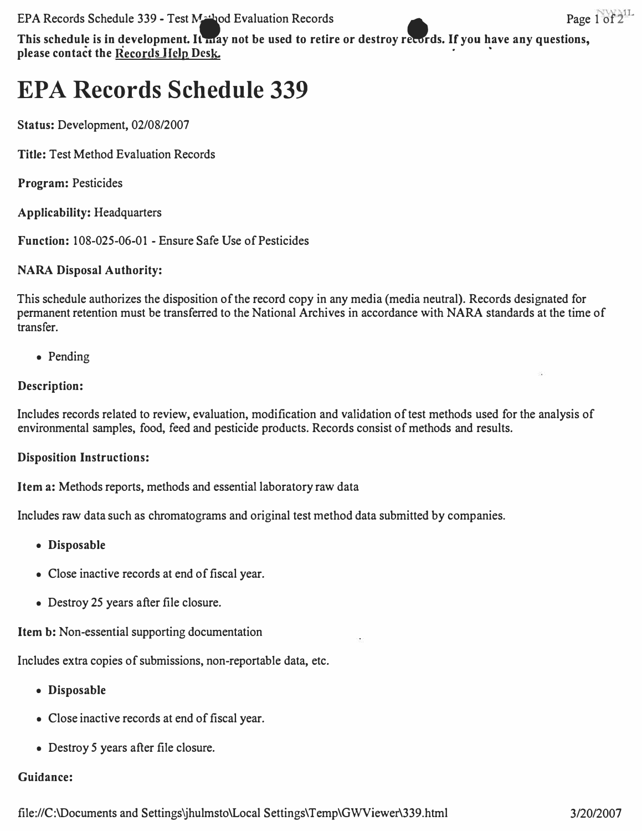**EPA Records Schedule 339 - Test Mathod Evaluation Records** • **Page 1 of 2**<sup>11</sup>

This schedule is in development. It may not be used to retire or destroy records. If you have any questions, please contact the Records Help Desk.

# **EPA Records Schedule 339**

**Status: Development, 02/08/2007** 

**Title: Test Method Evaluation Records** 

**Program: Pesticides** 

**Applicability: Headquarters** 

**Function: 108-025-06-01 - Ensure Safe Use of Pesticides** 

**NARA Disposal Authority:** 

**This schedule authorizes the disposition of the record copy in any media (media neutral). Records designated for permanent retention must be transferred to the National Archives in accordance with NARA standards at the time of transfer.** 

**• Pending** 

#### **Description:**

**Includes records related to review, evaluation, modification and validation of test methods used for the analysis of environmental samples, food, feed and pesticide products. Records consist of methods and results.** 

#### **Disposition Instructions:**

**Item a: Methods reports, methods and essential laboratory raw data** 

**Includes raw data such as chromatograms and original test method data submitted by companies.** 

- **Disposable**
- **Close inactive records at end of fiscal year.**
- **Destroy 25 years after file closure.**

**Item b: Non-essential supporting documentation** 

**Includes extra copies of submissions, non-reportable data, etc.** 

- **Disposable**
- **Close inactive records at end of fiscal year.**
- **Destroy 5 years after file closure.**

#### **Guidance:**

**<file://C:\Documents> and Settings�hulmsto\Local Settings\Temp\GWViewer\339.html 3/20/2007**